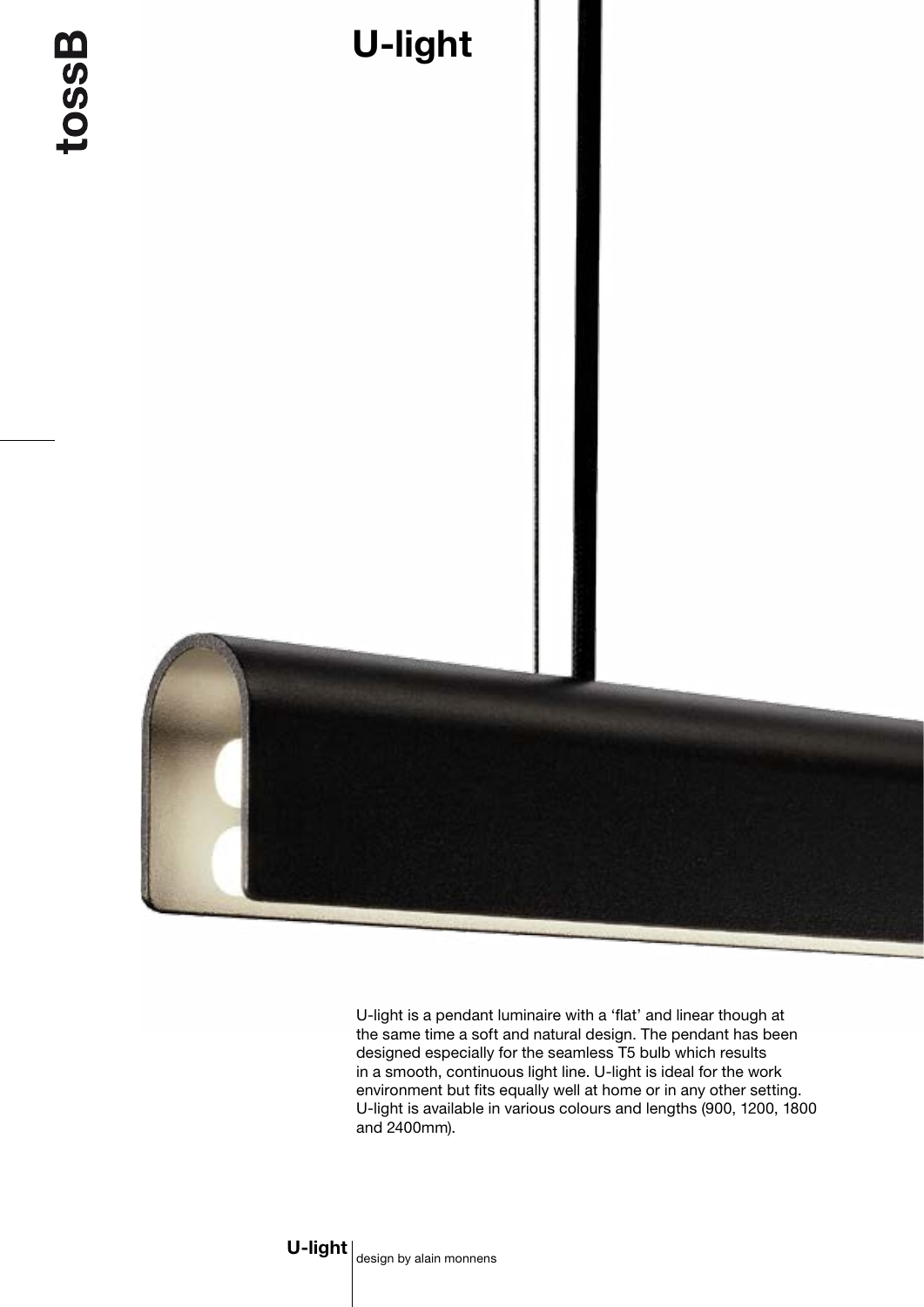

U-light is a pendant luminaire with a 'flat' and linear though at the same time a soft and natural design. The pendant has been designed especially for the seamless T5 bulb which results in a smooth, continuous light line. U-light is ideal for the work environment but fits equally well at home or in any other setting. U-light is available in various colours and lengths (900, 1200, 1800 and 2400mm).